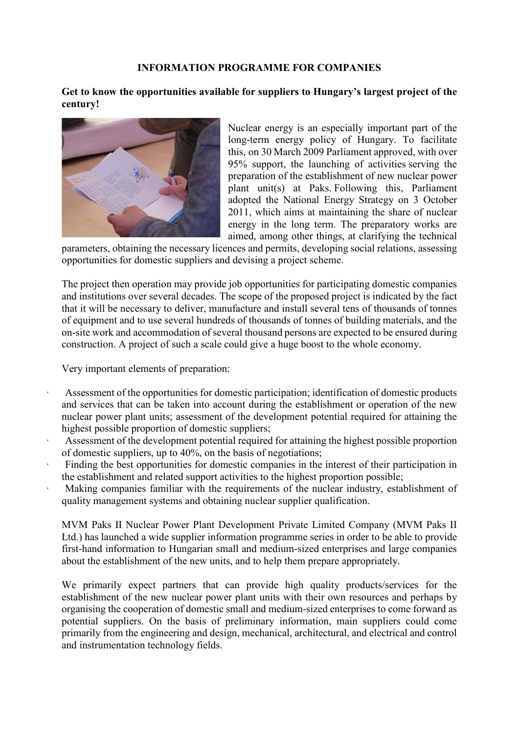## **INFORMATION PROGRAMME FOR COMPANIES**

**Get to know the opportunities available for suppliers to Hungary's largest project of the century!**



Nuclear energy is an especially important part of the long-term energy policy of Hungary. To facilitate this, on 30 March 2009 Parliament approved, with over 95% support, the launching of activities serving the preparation of the establishment of new nuclear power plant unit(s) at Paks. Following this, Parliament adopted the National Energy Strategy on 3 October 2011, which aims at maintaining the share of nuclear energy in the long term. The preparatory works are aimed, among other things, at clarifying the technical

parameters, obtaining the necessary licences and permits, developing social relations, assessing opportunities for domestic suppliers and devising a project scheme.

The project then operation may provide job opportunities for participating domestic companies and institutions over several decades. The scope of the proposed project is indicated by the fact that it will be necessary to deliver, manufacture and install several tens of thousands of tonnes of equipment and to use several hundreds of thousands of tonnes of building materials, and the on-site work and accommodation of several thousand persons are expected to be ensured during construction. A project of such a scale could give a huge boost to the whole economy.

Very important elements of preparation:

- Assessment of the opportunities for domestic participation; identification of domestic products and services that can be taken into account during the establishment or operation of the new nuclear power plant units; assessment of the development potential required for attaining the highest possible proportion of domestic suppliers;
- Assessment of the development potential required for attaining the highest possible proportion of domestic suppliers, up to 40%, on the basis of negotiations;
- Finding the best opportunities for domestic companies in the interest of their participation in the establishment and related support activities to the highest proportion possible;
- Making companies familiar with the requirements of the nuclear industry, establishment of quality management systems and obtaining nuclear supplier qualification.

MVM Paks II Nuclear Power Plant Development Private Limited Company (MVM Paks II Ltd.) has launched a wide supplier information programme series in order to be able to provide first-hand information to Hungarian small and medium-sized enterprises and large companies about the establishment of the new units, and to help them prepare appropriately.

We primarily expect partners that can provide high quality products/services for the establishment of the new nuclear power plant units with their own resources and perhaps by organising the cooperation of domestic small and medium-sized enterprises to come forward as potential suppliers. On the basis of preliminary information, main suppliers could come primarily from the engineering and design, mechanical, architectural, and electrical and control and instrumentation technology fields.